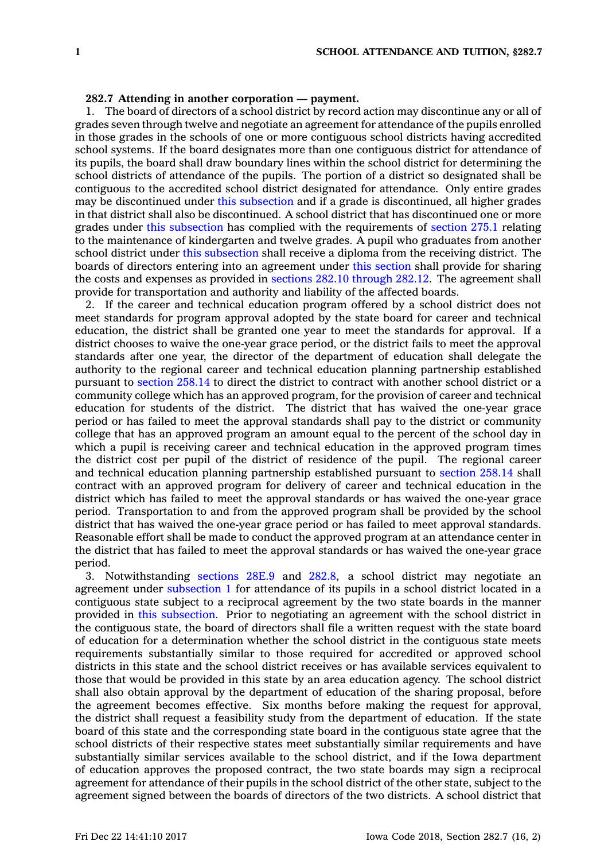## **282.7 Attending in another corporation — payment.**

1. The board of directors of <sup>a</sup> school district by record action may discontinue any or all of grades seven through twelve and negotiate an agreement for attendance of the pupils enrolled in those grades in the schools of one or more contiguous school districts having accredited school systems. If the board designates more than one contiguous district for attendance of its pupils, the board shall draw boundary lines within the school district for determining the school districts of attendance of the pupils. The portion of <sup>a</sup> district so designated shall be contiguous to the accredited school district designated for attendance. Only entire grades may be discontinued under this [subsection](https://www.legis.iowa.gov/docs/code/282.7.pdf) and if <sup>a</sup> grade is discontinued, all higher grades in that district shall also be discontinued. A school district that has discontinued one or more grades under this [subsection](https://www.legis.iowa.gov/docs/code/282.7.pdf) has complied with the requirements of [section](https://www.legis.iowa.gov/docs/code/275.1.pdf) 275.1 relating to the maintenance of kindergarten and twelve grades. A pupil who graduates from another school district under this [subsection](https://www.legis.iowa.gov/docs/code/282.7.pdf) shall receive <sup>a</sup> diploma from the receiving district. The boards of directors entering into an agreement under this [section](https://www.legis.iowa.gov/docs/code/282.7.pdf) shall provide for sharing the costs and expenses as provided in sections 282.10 [through](https://www.legis.iowa.gov/docs/code/282.10.pdf) 282.12. The agreement shall provide for transportation and authority and liability of the affected boards.

2. If the career and technical education program offered by <sup>a</sup> school district does not meet standards for program approval adopted by the state board for career and technical education, the district shall be granted one year to meet the standards for approval. If <sup>a</sup> district chooses to waive the one-year grace period, or the district fails to meet the approval standards after one year, the director of the department of education shall delegate the authority to the regional career and technical education planning partnership established pursuant to [section](https://www.legis.iowa.gov/docs/code/258.14.pdf) 258.14 to direct the district to contract with another school district or <sup>a</sup> community college which has an approved program, for the provision of career and technical education for students of the district. The district that has waived the one-year grace period or has failed to meet the approval standards shall pay to the district or community college that has an approved program an amount equal to the percent of the school day in which <sup>a</sup> pupil is receiving career and technical education in the approved program times the district cost per pupil of the district of residence of the pupil. The regional career and technical education planning partnership established pursuant to [section](https://www.legis.iowa.gov/docs/code/258.14.pdf) 258.14 shall contract with an approved program for delivery of career and technical education in the district which has failed to meet the approval standards or has waived the one-year grace period. Transportation to and from the approved program shall be provided by the school district that has waived the one-year grace period or has failed to meet approval standards. Reasonable effort shall be made to conduct the approved program at an attendance center in the district that has failed to meet the approval standards or has waived the one-year grace period.

3. Notwithstanding [sections](https://www.legis.iowa.gov/docs/code/28E.9.pdf) 28E.9 and [282.8](https://www.legis.iowa.gov/docs/code/282.8.pdf), <sup>a</sup> school district may negotiate an agreement under [subsection](https://www.legis.iowa.gov/docs/code/282.7.pdf) 1 for attendance of its pupils in <sup>a</sup> school district located in <sup>a</sup> contiguous state subject to <sup>a</sup> reciprocal agreement by the two state boards in the manner provided in this [subsection](https://www.legis.iowa.gov/docs/code/282.7.pdf). Prior to negotiating an agreement with the school district in the contiguous state, the board of directors shall file <sup>a</sup> written request with the state board of education for <sup>a</sup> determination whether the school district in the contiguous state meets requirements substantially similar to those required for accredited or approved school districts in this state and the school district receives or has available services equivalent to those that would be provided in this state by an area education agency. The school district shall also obtain approval by the department of education of the sharing proposal, before the agreement becomes effective. Six months before making the request for approval, the district shall request <sup>a</sup> feasibility study from the department of education. If the state board of this state and the corresponding state board in the contiguous state agree that the school districts of their respective states meet substantially similar requirements and have substantially similar services available to the school district, and if the Iowa department of education approves the proposed contract, the two state boards may sign <sup>a</sup> reciprocal agreement for attendance of their pupils in the school district of the other state, subject to the agreement signed between the boards of directors of the two districts. A school district that